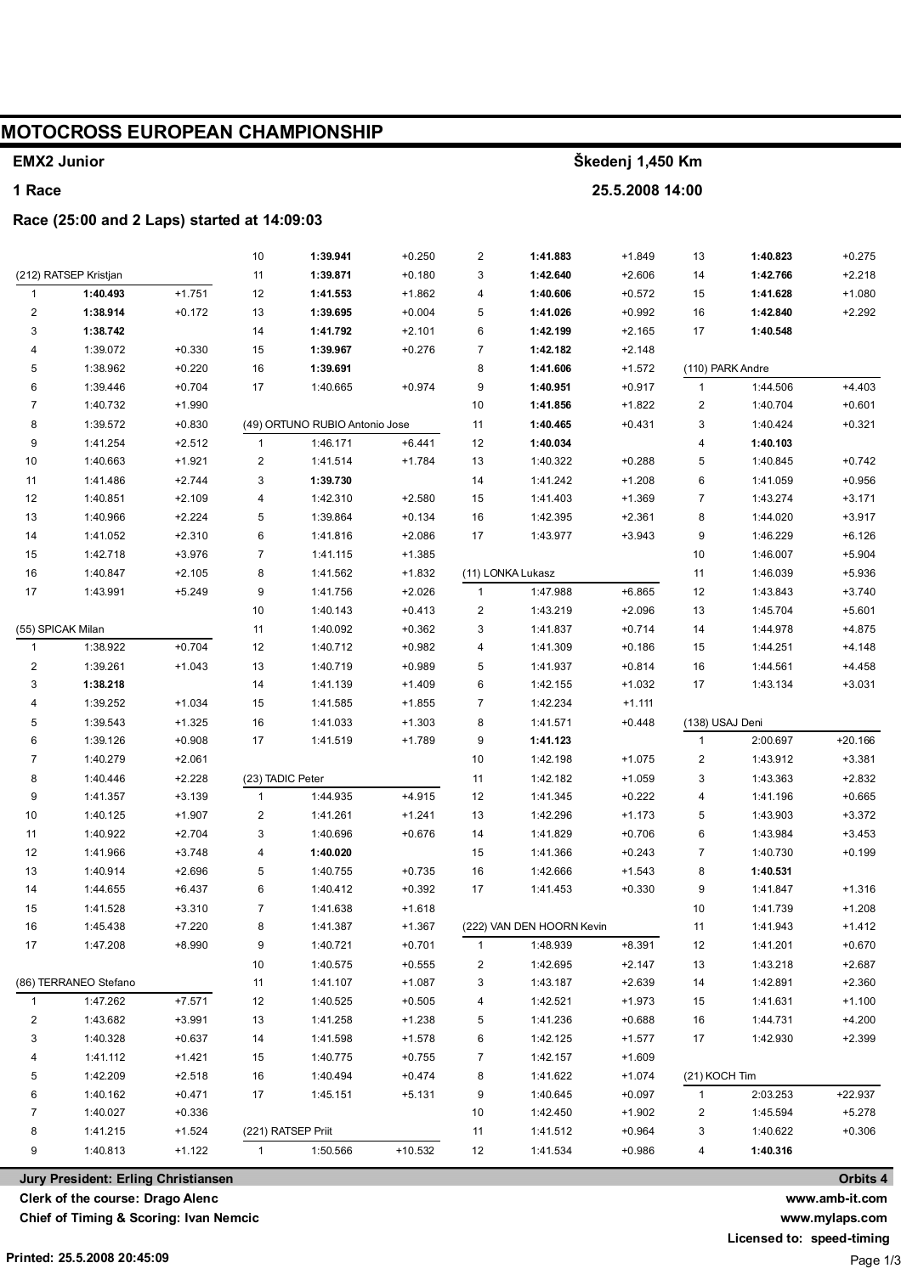#### **MOTOCROSS EUROPEAN CHAMPIONSHIP** Škedeni 1.450 Km **EMX2 Junior** 1 Race 25.5.2008 14:00 Race (25:00 and 2 Laps) started at 14:09:03  $+0.250$  $\overline{2}$ 1:41.883 1:40.823  $+0.275$  $10$ 1:39.941  $+1849$  $13$ (212) RATSEP Kristjan  $11$ 1:39.871  $+0.180$ 3 1:42.640  $+2.606$  $14$ 1:42.766  $+2.218$ 1:40.493  $+1.751$  $12$ 1:41.553  $+1.862$  $\overline{4}$ 1:40.606  $+0.572$  $15$ 1:41.628  $+1.080$  $\overline{1}$  $\overline{c}$ 1:38.914  $+0.172$ 13 1:39.695  $+0.004$ 5 1:41.026  $+0.992$  $16$  $1:42.840$  $+2.292$ 3  $+2.101$  $\overline{6}$ 1:40.548 1:38.742  $14$ 1:41.792  $1:42.199$  $+2.165$  $17$  $\overline{4}$ 1:39.072  $15$  $+0.276$  $\overline{7}$ 1:42.182  $+0.330$ 1:39.967  $+2$  148 5 1:38.962  $+0.220$ 16 1:39.691 8 1:41.606  $+1.572$ (110) PARK Andre  $6\phantom{a}$ 1:40.665  $\overline{9}$ 1:44.506  $+4.403$ 1:39.446  $+0.704$  $17$  $+0.974$ 1:40.951  $+0.917$  $\overline{1}$  $\overline{7}$  $10$  $\overline{2}$ 1:40.732  $+1.990$ 1:41.856  $+1.822$ 1:40.704  $+0.601$ 8 1:39.572  $+0.830$ (49) ORTUNO RUBIO Antonio Jose  $11$ 1:40.465  $+0.431$  $\mathbf{3}$ 1:40.424  $+0.321$  $+6.441$  $\circ$  $1:41254$  $+2.512$  $1:46171$  $12$  $1:40034$  $\overline{\mathbf{A}}$  $1:40.103$  $\overline{1}$  $10$ 1:40.663  $+1.921$  $\overline{2}$ 1:41.514  $+1.784$  $13$ 1:40.322  $+0.288$ 5 1:40.845  $+0.742$  $11$ 1:41.486  $+2.744$ 3 1:39.730  $14$ 1:41.242  $+1.208$  $6\phantom{1}$ 1:41.059  $+0.956$  $1:40.851$  $+2.109$  $+2.580$ 15  $+1.369$  $\overline{7}$  $1:43.274$ 12  $\overline{4}$  $1.42310$  $1:41403$  $+3,171$ 13 1:40.966  $+2224$ 5 1:39.864  $+0.134$  $16$ 1:42.395  $+2.361$  $\mathbf{g}$ 1:44.020  $+3.917$  $6\overline{6}$  $\overline{9}$ 1:41.052  $+2.310$ 1:41.816  $+2.086$  $17$ 1:43.977  $+3.943$ 1:46.229  $+6.126$  $14$ 15 1:42.718  $+3.976$  $\overline{7}$ 1:41.115  $+1.385$  $10$ 1:46.007  $+5.904$ (11) LONKA Lukasz  $16$ 1:40.847  $+2.105$ 8 1:41.562  $+1.832$  $11$ 1:46.039  $+5.936$ 1:43.991 g  $+2.026$  $\overline{1}$ 1:47.988  $+6.865$  $12$ 1:43.843  $+3.740$  $17$  $+5.249$ 1:41.756  $10$  $1:40143$  $+0.413$  $\mathcal{P}$  $1.43219$  $+2.096$  $13$  $1:45704$  $+5.601$ (55) SPICAK Milan 1:40.092  $+0.362$ 3 1:41.837  $+0.714$ 1:44.978  $+4.875$  $11$  $14$  $+0.704$  $12$ 1:40.712  $+0.982$ 1:41.309 1:44.251  $\overline{1}$ 1:38.922 4  $+0.186$ 15  $+4.148$  $\overline{c}$ 1:39.261  $+1.043$  $13$ 1:40.719  $+0.989$ 5 1:41.937  $+0.814$  $16$ 1:44.561  $+4.458$  $\overline{3}$ 1:43.134 1:38.218  $14$ 1:41.139  $+1.409$ 6 1:42.155  $+1.032$  $17$  $+3.031$  $\overline{4}$ 1:39.252  $+1.034$ 15 1:41.585  $+1.855$  $\overline{7}$ 1:42.234  $+1.111$ 5 1:39.543  $+1.325$ 16 1:41.033  $+1.303$ 8 1:41.571  $+0.448$ (138) USAJ Deni 6 1:39.126  $+0.908$  $17$ 1:41.519  $+1.789$ 9 2:00.697  $+20.166$ 1:41.123  $\mathbf{1}$  $\overline{7}$ 1:40.279  $+2.061$  $10$ 1:42.198  $+1.075$  $\overline{a}$ 1:43.912  $+3.381$ (23) TADIC Peter  $\overline{3}$  $\mathbf{g}$  $1:40.446$  $+2228$  $11$  $1.42182$  $+1.059$  $1:43.363$  $+2832$ g 1:41.357  $+3.139$  $\overline{1}$ 1:44.935  $+4.915$  $12$ 1:41.345  $+0.222$  $\overline{4}$ 1:41.196  $+0.665$  $10$ 1:40.125  $+1.907$  $\overline{a}$ 1:41.261  $+1.241$  $13$ 1:42.296  $+1.173$ 5 1:43.903  $+3.372$ 1:40.922  $+2.704$ 3 1:40.696  $+0.676$ 1:41.829  $+0.706$  $6\phantom{a}$ 1:43.984  $11$  $14$  $+3.453$  $12$ 1:41.966  $+3.748$  $\overline{4}$ 1:40.020 15 1:41.366  $+0.243$  $\overline{7}$ 1:40.730  $+0.199$  $13$ 1:40.914  $+2.696$ 5 1:40.755  $+0.735$ 16 1:42.666  $+1.543$ 8 1:40.531  $14$  $1.44655$  $+6437$ 6 1:40.412  $+0.392$  $17$ 1:41.453  $+0.330$ 9 1:41.847  $+1.316$  $\overline{7}$  $+1.618$  $10$ 1:41.739  $+1.208$ 15 1:41.528  $+3.310$ 1:41.638 16 1:45.438  $+7.220$ 8  $+1.367$ (222) VAN DEN HOORN Kevin  $+1.412$ 1:41.387  $11$ 1:41.943  $17$ 1:47.208  $+8.990$ g 1:40.721  $+0.701$  $\overline{1}$ 1:48.939  $+8.391$  $12$ 1:41.201  $+0.670$  $10$ 1:40.575  $+0.555$  $\overline{c}$ 1:42.695  $+2.147$  $13$ 1:43.218  $+2.687$ (86) TERRANEO Stefano 3  $11$ 1:41.107  $+1.087$ 1:43.187  $+2.639$  $14$ 1:42.891  $+2.360$  $1.47262$  $+7.571$  $12$ 1:40.525  $+0.505$  $\overline{\mathbf{4}}$ 1:42.521  $+1.973$ 15 1:41.631  $+1.100$  $\overline{1}$  $\overline{c}$  $1.43682$  $+3.991$  $13$ 1:41.258  $+1238$ 5 1:41.236  $+0.688$  $16$ 1:44.731  $+4.200$  $\overline{3}$  $+1.578$  $1:42930$  $1:40.328$  $+0.637$  $14$ 1:41.598 6 1:42.125  $+1.577$  $17$  $+2.399$  $\overline{4}$ 1:41.112  $+1.421$ 15 1:40.775  $+0.755$  $\overline{7}$ 1:42.157  $+1.609$ (21) KOCH Tim 5 1:42.209  $+2.518$ 16 1:40.494  $+0.474$ 8 1:41.622  $+1.074$  $\epsilon$ 1:40.162  $+0.471$  $17$ 1:45.151  $+5.131$  $\mathbf{q}$ 1:40.645  $+0.097$  $\overline{1}$  $2.03253$  $+22.937$  $\overline{7}$  $1:40027$  $+0.336$  $10$ 1:42.450  $+1.902$  $\mathfrak{p}$  $1.45594$  $+5.278$ 8 (221) RATSEP Priit 3  $+0.306$ 1:41.215  $+1.524$  $11$ 1:41.512  $+0.964$ 1:40.622 g 1:40.813  $+1.122$  $\overline{1}$ 1:50.566  $+10.532$  $12$ 1:41.534  $+0.986$  $\overline{4}$ 1:40.316

Jury President: Erling Christiansen

Clerk of the course: Drago Alenc

Chief of Timing & Scoring: Ivan Nemcic

Orbits 4 www.amb-it.com

www.mylaps.com

Licensed to: speed-timing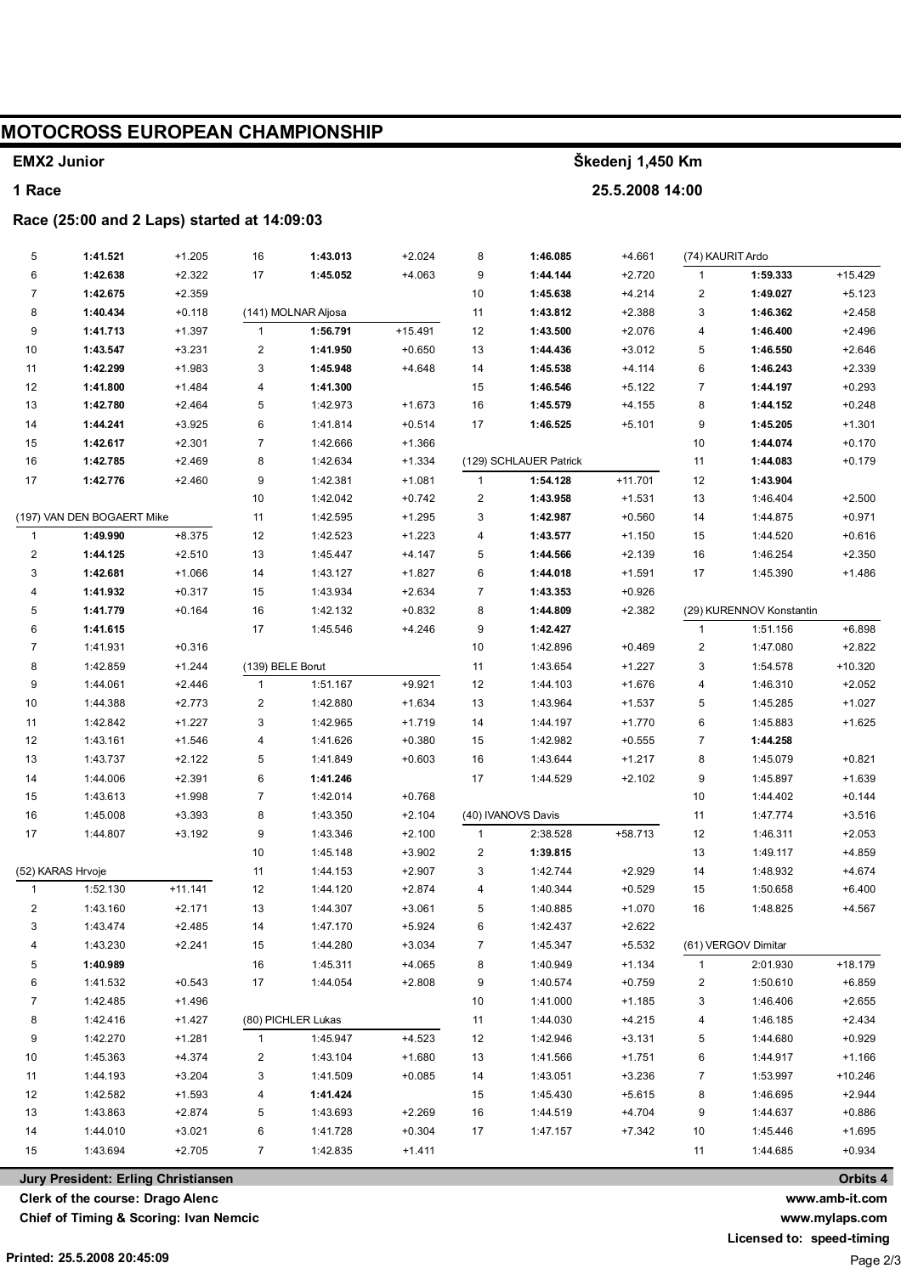## **MOTOCROSS EUROPEAN CHAMPIONSHIP**

#### **EMX2 Junior**

#### **1 Race**

#### **Race (25:00 and 2 Laps) started at 14:09:03**

| $+15.429$<br>6<br>1:42.638<br>$+2.322$<br>17<br>1:45.052<br>$+4.063$<br>9<br>1:44.144<br>$+2.720$<br>1:59.333<br>$\mathbf{1}$<br>$\overline{7}$<br>1:42.675<br>$+2.359$<br>10<br>1:45.638<br>$\overline{c}$<br>1:49.027<br>$+5.123$<br>$+4.214$<br>8<br>1:40.434<br>(141) MOLNAR Aljosa<br>11<br>1:43.812<br>3<br>1:46.362<br>$+2.458$<br>$+0.118$<br>$+2.388$<br>9<br>1:41.713<br>$\mathbf{1}$<br>$+15.491$<br>12<br>1:43.500<br>$+2.496$<br>$+1.397$<br>1:56.791<br>$+2.076$<br>4<br>1:46.400<br>$\boldsymbol{2}$<br>10<br>1:43.547<br>$+3.231$<br>1:41.950<br>$+0.650$<br>13<br>1:44.436<br>5<br>1:46.550<br>$+2.646$<br>$+3.012$<br>11<br>1:42.299<br>3<br>1:45.948<br>$+4.648$<br>14<br>1:45.538<br>6<br>$+2.339$<br>$+1.983$<br>$+4.114$<br>1:46.243<br>12<br>1:41.800<br>4<br>15<br>1:46.546<br>$\overline{7}$<br>$+0.293$<br>$+1.484$<br>1:41.300<br>$+5.122$<br>1:44.197<br>13<br>5<br>16<br>8<br>$+0.248$<br>1:42.780<br>$+2.464$<br>1:42.973<br>$+1.673$<br>1:45.579<br>$+4.155$<br>1:44.152<br>14<br>1:44.241<br>6<br>$+0.514$<br>17<br>9<br>$+1.301$<br>$+3.925$<br>1:41.814<br>1:46.525<br>$+5.101$<br>1:45.205<br>15<br>1:42.617<br>$+2.301$<br>$\overline{7}$<br>1:42.666<br>$+1.366$<br>10<br>1:44.074<br>$+0.170$<br>16<br>1:42.785<br>$+2.469$<br>8<br>1:42.634<br>$+1.334$<br>(129) SCHLAUER Patrick<br>11<br>1:44.083<br>$+0.179$<br>9<br>17<br>1:42.776<br>$+2.460$<br>1:42.381<br>$+1.081$<br>$\mathbf{1}$<br>1:54.128<br>$+11.701$<br>12<br>1:43.904<br>10<br>1:42.042<br>2<br>1:43.958<br>$+1.531$<br>13<br>$+0.742$<br>1:46.404<br>$+2.500$<br>(197) VAN DEN BOGAERT Mike<br>11<br>1:42.595<br>$+1.295$<br>3<br>1:42.987<br>$+0.560$<br>$+0.971$<br>14<br>1:44.875<br>$+8.375$<br>$\mathbf{1}$<br>1:49.990<br>12<br>1:42.523<br>$+1.223$<br>1:43.577<br>$+1.150$<br>$+0.616$<br>4<br>15<br>1:44.520<br>1:44.125<br>$+2.510$<br>13<br>1:45.447<br>$+4.147$<br>5<br>1:44.566<br>$+2.139$<br>1:46.254<br>$+2.350$<br>2<br>16<br>6<br>3<br>1:42.681<br>$+1.066$<br>14<br>1:44.018<br>$+1.486$<br>1:43.127<br>$+1.827$<br>$+1.591$<br>17<br>1:45.390<br>1:41.932<br>$+0.317$<br>$+2.634$<br>7<br>1:43.353<br>$+0.926$<br>4<br>15<br>1:43.934<br>5<br>1:41.779<br>$+0.164$<br>16<br>$+0.832$<br>8<br>1:44.809<br>$+2.382$<br>(29) KURENNOV Konstantin<br>1:42.132<br>$+6.898$<br>6<br>1:41.615<br>17<br>$+4.246$<br>9<br>1:42.427<br>1:51.156<br>1:45.546<br>$\mathbf{1}$<br>$\overline{7}$<br>1:41.931<br>$+0.316$<br>10<br>1:42.896<br>$\overline{c}$<br>1:47.080<br>$+2.822$<br>$+0.469$<br>8<br>11<br>3<br>$+10.320$<br>1:42.859<br>$+1.244$<br>(139) BELE Borut<br>1:43.654<br>$+1.227$<br>1:54.578<br>9<br>$\mathbf{1}$<br>$+9.921$<br>$+2.052$<br>1:44.061<br>$+2.446$<br>1:51.167<br>12<br>1:44.103<br>$+1.676$<br>4<br>1:46.310<br>$\boldsymbol{2}$<br>10<br>13<br>5<br>1:44.388<br>$+2.773$<br>1:42.880<br>$+1.634$<br>1:43.964<br>$+1.537$<br>1:45.285<br>$+1.027$<br>3<br>11<br>$+1.719$<br>6<br>$+1.625$<br>1:42.842<br>$+1.227$<br>1:42.965<br>14<br>1:44.197<br>1:45.883<br>$+1.770$<br>12<br>4<br>$\overline{7}$<br>1:43.161<br>$+1.546$<br>1:41.626<br>$+0.380$<br>15<br>1:42.982<br>$+0.555$<br>1:44.258<br>5<br>13<br>16<br>8<br>$+0.821$<br>1:43.737<br>$+2.122$<br>1:41.849<br>$+0.603$<br>1:43.644<br>$+1.217$<br>1:45.079<br>14<br>6<br>17<br>$+2.102$<br>9<br>$+1.639$<br>1:44.006<br>$+2.391$<br>1:41.246<br>1:44.529<br>1:45.897<br>15<br>$\overline{7}$<br>$+0.768$<br>10<br>$+0.144$<br>1:43.613<br>$+1.998$<br>1:42.014<br>1:44.402<br>16<br>1:45.008<br>$+3.393$<br>8<br>1:43.350<br>$+2.104$<br>(40) IVANOVS Davis<br>11<br>1:47.774<br>$+3.516$<br>9<br>17<br>1:44.807<br>$+3.192$<br>$+2.100$<br>2:38.528<br>$+58.713$<br>12<br>$+2.053$<br>1:43.346<br>$\mathbf{1}$<br>1:46.311<br>10<br>2<br>1:39.815<br>13<br>$+4.859$<br>1:45.148<br>$+3.902$<br>1:49.117<br>(52) KARAS Hrvoje<br>11<br>$+2.907$<br>3<br>1:42.744<br>$+2.929$<br>$+4.674$<br>1:44.153<br>14<br>1:48.932<br>$+11.141$<br>12<br>$+2.874$<br>$+0.529$<br>$+6.400$<br>$\mathbf{1}$<br>1:52.130<br>1:44.120<br>4<br>1:40.344<br>15<br>1:50.658<br>$\overline{\mathbf{c}}$<br>1:43.160<br>$+2.171$<br>13<br>$+3.061$<br>5<br>$+1.070$<br>$+4.567$<br>1:44.307<br>1:40.885<br>16<br>1:48.825<br>$+5.924$<br>3<br>1:43.474<br>$+2.485$<br>14<br>1:47.170<br>6<br>1:42.437<br>$+2.622$<br>$+3.034$<br>1:43.230<br>$+2.241$<br>15<br>1:44.280<br>7<br>1:45.347<br>$+5.532$<br>(61) VERGOV Dimitar<br>4<br>1:40.989<br>16<br>1:45.311<br>$+4.065$<br>1:40.949<br>$+1.134$<br>2:01.930<br>$+18.179$<br>5<br>8<br>1<br>1:41.532<br>$+0.543$<br>17<br>$+2.808$<br>$+0.759$<br>$+6.859$<br>6<br>1:44.054<br>9<br>1:40.574<br>2<br>1:50.610<br>$+2.655$<br>$+1.496$<br>7<br>1:42.485<br>10<br>1:41.000<br>$+1.185$<br>3<br>1:46.406<br>8<br>(80) PICHLER Lukas<br>$+2.434$<br>1:42.416<br>+1.427<br>11<br>1:44.030<br>$+4.215$<br>4<br>1:46.185<br>9<br>$+4.523$<br>$+0.929$<br>1:42.270<br>+1.281<br>1:45.947<br>12<br>1:42.946<br>$+3.131$<br>5<br>1:44.680<br>$\mathbf{1}$<br>$+1.166$<br>10<br>1:45.363<br>+4.374<br>2<br>$+1.680$<br>13<br>1:41.566<br>6<br>1:44.917<br>1:43.104<br>+1.751<br>11<br>1:44.193<br>$+3.204$<br>3<br>1:41.509<br>$+0.085$<br>14<br>1:43.051<br>$+3.236$<br>7<br>1:53.997<br>$+10.246$<br>12<br>1:42.582<br>4<br>15<br>1:45.430<br>8<br>1:46.695<br>$+2.944$<br>$+1.593$<br>1:41.424<br>$+5.615$<br>5<br>$+2.269$<br>9<br>$+0.886$<br>13<br>1:43.863<br>$+2.874$<br>16<br>+4.704<br>1:43.693<br>1:44.519<br>1:44.637<br>6<br>$+1.695$<br>14<br>1:44.010<br>$+3.021$<br>1:41.728<br>$+0.304$<br>17<br>1:47.157<br>$+7.342$<br>10<br>1:45.446<br>$+2.705$<br>$+0.934$<br>15<br>1:43.694<br>$\overline{7}$<br>1:42.835<br>$+1.411$<br>11<br>1:44.685<br>Orbits 4<br>Jury President: Erling Christiansen | 5 | 1:41.521 | $+1.205$ | 16 | 1:43.013 | $+2.024$ | 8 | 1:46.085 | $+4.661$ | (74) KAURIT Ardo |  |
|-----------------------------------------------------------------------------------------------------------------------------------------------------------------------------------------------------------------------------------------------------------------------------------------------------------------------------------------------------------------------------------------------------------------------------------------------------------------------------------------------------------------------------------------------------------------------------------------------------------------------------------------------------------------------------------------------------------------------------------------------------------------------------------------------------------------------------------------------------------------------------------------------------------------------------------------------------------------------------------------------------------------------------------------------------------------------------------------------------------------------------------------------------------------------------------------------------------------------------------------------------------------------------------------------------------------------------------------------------------------------------------------------------------------------------------------------------------------------------------------------------------------------------------------------------------------------------------------------------------------------------------------------------------------------------------------------------------------------------------------------------------------------------------------------------------------------------------------------------------------------------------------------------------------------------------------------------------------------------------------------------------------------------------------------------------------------------------------------------------------------------------------------------------------------------------------------------------------------------------------------------------------------------------------------------------------------------------------------------------------------------------------------------------------------------------------------------------------------------------------------------------------------------------------------------------------------------------------------------------------------------------------------------------------------------------------------------------------------------------------------------------------------------------------------------------------------------------------------------------------------------------------------------------------------------------------------------------------------------------------------------------------------------------------------------------------------------------------------------------------------------------------------------------------------------------------------------------------------------------------------------------------------------------------------------------------------------------------------------------------------------------------------------------------------------------------------------------------------------------------------------------------------------------------------------------------------------------------------------------------------------------------------------------------------------------------------------------------------------------------------------------------------------------------------------------------------------------------------------------------------------------------------------------------------------------------------------------------------------------------------------------------------------------------------------------------------------------------------------------------------------------------------------------------------------------------------------------------------------------------------------------------------------------------------------------------------------------------------------------------------------------------------------------------------------------------------------------------------------------------------------------------------------------------------------------------------------------------------------------------------------------------------------------------------------------------------------------------------------------------------------------------------------------------------------------------------------------------------------------------------------------------------------------------------------------------------------------------------------------------------------------------------------------------------------------------------------------------------------------------------------------------------------------------------------------------------------------------------------------------------------------------------------------------------------------------------------------------------------------------------------------------------------------------------------------------------------------------------------------------------------------------------------------------------------------------------------------------------------------------------------------------------------------------------------------------------------------------------------------------------|---|----------|----------|----|----------|----------|---|----------|----------|------------------|--|
|                                                                                                                                                                                                                                                                                                                                                                                                                                                                                                                                                                                                                                                                                                                                                                                                                                                                                                                                                                                                                                                                                                                                                                                                                                                                                                                                                                                                                                                                                                                                                                                                                                                                                                                                                                                                                                                                                                                                                                                                                                                                                                                                                                                                                                                                                                                                                                                                                                                                                                                                                                                                                                                                                                                                                                                                                                                                                                                                                                                                                                                                                                                                                                                                                                                                                                                                                                                                                                                                                                                                                                                                                                                                                                                                                                                                                                                                                                                                                                                                                                                                                                                                                                                                                                                                                                                                                                                                                                                                                                                                                                                                                                                                                                                                                                                                                                                                                                                                                                                                                                                                                                                                                                                                                                                                                                                                                                                                                                                                                                                                                                                                                                                                                                                                               |   |          |          |    |          |          |   |          |          |                  |  |
|                                                                                                                                                                                                                                                                                                                                                                                                                                                                                                                                                                                                                                                                                                                                                                                                                                                                                                                                                                                                                                                                                                                                                                                                                                                                                                                                                                                                                                                                                                                                                                                                                                                                                                                                                                                                                                                                                                                                                                                                                                                                                                                                                                                                                                                                                                                                                                                                                                                                                                                                                                                                                                                                                                                                                                                                                                                                                                                                                                                                                                                                                                                                                                                                                                                                                                                                                                                                                                                                                                                                                                                                                                                                                                                                                                                                                                                                                                                                                                                                                                                                                                                                                                                                                                                                                                                                                                                                                                                                                                                                                                                                                                                                                                                                                                                                                                                                                                                                                                                                                                                                                                                                                                                                                                                                                                                                                                                                                                                                                                                                                                                                                                                                                                                                               |   |          |          |    |          |          |   |          |          |                  |  |
|                                                                                                                                                                                                                                                                                                                                                                                                                                                                                                                                                                                                                                                                                                                                                                                                                                                                                                                                                                                                                                                                                                                                                                                                                                                                                                                                                                                                                                                                                                                                                                                                                                                                                                                                                                                                                                                                                                                                                                                                                                                                                                                                                                                                                                                                                                                                                                                                                                                                                                                                                                                                                                                                                                                                                                                                                                                                                                                                                                                                                                                                                                                                                                                                                                                                                                                                                                                                                                                                                                                                                                                                                                                                                                                                                                                                                                                                                                                                                                                                                                                                                                                                                                                                                                                                                                                                                                                                                                                                                                                                                                                                                                                                                                                                                                                                                                                                                                                                                                                                                                                                                                                                                                                                                                                                                                                                                                                                                                                                                                                                                                                                                                                                                                                                               |   |          |          |    |          |          |   |          |          |                  |  |
|                                                                                                                                                                                                                                                                                                                                                                                                                                                                                                                                                                                                                                                                                                                                                                                                                                                                                                                                                                                                                                                                                                                                                                                                                                                                                                                                                                                                                                                                                                                                                                                                                                                                                                                                                                                                                                                                                                                                                                                                                                                                                                                                                                                                                                                                                                                                                                                                                                                                                                                                                                                                                                                                                                                                                                                                                                                                                                                                                                                                                                                                                                                                                                                                                                                                                                                                                                                                                                                                                                                                                                                                                                                                                                                                                                                                                                                                                                                                                                                                                                                                                                                                                                                                                                                                                                                                                                                                                                                                                                                                                                                                                                                                                                                                                                                                                                                                                                                                                                                                                                                                                                                                                                                                                                                                                                                                                                                                                                                                                                                                                                                                                                                                                                                                               |   |          |          |    |          |          |   |          |          |                  |  |
|                                                                                                                                                                                                                                                                                                                                                                                                                                                                                                                                                                                                                                                                                                                                                                                                                                                                                                                                                                                                                                                                                                                                                                                                                                                                                                                                                                                                                                                                                                                                                                                                                                                                                                                                                                                                                                                                                                                                                                                                                                                                                                                                                                                                                                                                                                                                                                                                                                                                                                                                                                                                                                                                                                                                                                                                                                                                                                                                                                                                                                                                                                                                                                                                                                                                                                                                                                                                                                                                                                                                                                                                                                                                                                                                                                                                                                                                                                                                                                                                                                                                                                                                                                                                                                                                                                                                                                                                                                                                                                                                                                                                                                                                                                                                                                                                                                                                                                                                                                                                                                                                                                                                                                                                                                                                                                                                                                                                                                                                                                                                                                                                                                                                                                                                               |   |          |          |    |          |          |   |          |          |                  |  |
|                                                                                                                                                                                                                                                                                                                                                                                                                                                                                                                                                                                                                                                                                                                                                                                                                                                                                                                                                                                                                                                                                                                                                                                                                                                                                                                                                                                                                                                                                                                                                                                                                                                                                                                                                                                                                                                                                                                                                                                                                                                                                                                                                                                                                                                                                                                                                                                                                                                                                                                                                                                                                                                                                                                                                                                                                                                                                                                                                                                                                                                                                                                                                                                                                                                                                                                                                                                                                                                                                                                                                                                                                                                                                                                                                                                                                                                                                                                                                                                                                                                                                                                                                                                                                                                                                                                                                                                                                                                                                                                                                                                                                                                                                                                                                                                                                                                                                                                                                                                                                                                                                                                                                                                                                                                                                                                                                                                                                                                                                                                                                                                                                                                                                                                                               |   |          |          |    |          |          |   |          |          |                  |  |
|                                                                                                                                                                                                                                                                                                                                                                                                                                                                                                                                                                                                                                                                                                                                                                                                                                                                                                                                                                                                                                                                                                                                                                                                                                                                                                                                                                                                                                                                                                                                                                                                                                                                                                                                                                                                                                                                                                                                                                                                                                                                                                                                                                                                                                                                                                                                                                                                                                                                                                                                                                                                                                                                                                                                                                                                                                                                                                                                                                                                                                                                                                                                                                                                                                                                                                                                                                                                                                                                                                                                                                                                                                                                                                                                                                                                                                                                                                                                                                                                                                                                                                                                                                                                                                                                                                                                                                                                                                                                                                                                                                                                                                                                                                                                                                                                                                                                                                                                                                                                                                                                                                                                                                                                                                                                                                                                                                                                                                                                                                                                                                                                                                                                                                                                               |   |          |          |    |          |          |   |          |          |                  |  |
|                                                                                                                                                                                                                                                                                                                                                                                                                                                                                                                                                                                                                                                                                                                                                                                                                                                                                                                                                                                                                                                                                                                                                                                                                                                                                                                                                                                                                                                                                                                                                                                                                                                                                                                                                                                                                                                                                                                                                                                                                                                                                                                                                                                                                                                                                                                                                                                                                                                                                                                                                                                                                                                                                                                                                                                                                                                                                                                                                                                                                                                                                                                                                                                                                                                                                                                                                                                                                                                                                                                                                                                                                                                                                                                                                                                                                                                                                                                                                                                                                                                                                                                                                                                                                                                                                                                                                                                                                                                                                                                                                                                                                                                                                                                                                                                                                                                                                                                                                                                                                                                                                                                                                                                                                                                                                                                                                                                                                                                                                                                                                                                                                                                                                                                                               |   |          |          |    |          |          |   |          |          |                  |  |
|                                                                                                                                                                                                                                                                                                                                                                                                                                                                                                                                                                                                                                                                                                                                                                                                                                                                                                                                                                                                                                                                                                                                                                                                                                                                                                                                                                                                                                                                                                                                                                                                                                                                                                                                                                                                                                                                                                                                                                                                                                                                                                                                                                                                                                                                                                                                                                                                                                                                                                                                                                                                                                                                                                                                                                                                                                                                                                                                                                                                                                                                                                                                                                                                                                                                                                                                                                                                                                                                                                                                                                                                                                                                                                                                                                                                                                                                                                                                                                                                                                                                                                                                                                                                                                                                                                                                                                                                                                                                                                                                                                                                                                                                                                                                                                                                                                                                                                                                                                                                                                                                                                                                                                                                                                                                                                                                                                                                                                                                                                                                                                                                                                                                                                                                               |   |          |          |    |          |          |   |          |          |                  |  |
|                                                                                                                                                                                                                                                                                                                                                                                                                                                                                                                                                                                                                                                                                                                                                                                                                                                                                                                                                                                                                                                                                                                                                                                                                                                                                                                                                                                                                                                                                                                                                                                                                                                                                                                                                                                                                                                                                                                                                                                                                                                                                                                                                                                                                                                                                                                                                                                                                                                                                                                                                                                                                                                                                                                                                                                                                                                                                                                                                                                                                                                                                                                                                                                                                                                                                                                                                                                                                                                                                                                                                                                                                                                                                                                                                                                                                                                                                                                                                                                                                                                                                                                                                                                                                                                                                                                                                                                                                                                                                                                                                                                                                                                                                                                                                                                                                                                                                                                                                                                                                                                                                                                                                                                                                                                                                                                                                                                                                                                                                                                                                                                                                                                                                                                                               |   |          |          |    |          |          |   |          |          |                  |  |
|                                                                                                                                                                                                                                                                                                                                                                                                                                                                                                                                                                                                                                                                                                                                                                                                                                                                                                                                                                                                                                                                                                                                                                                                                                                                                                                                                                                                                                                                                                                                                                                                                                                                                                                                                                                                                                                                                                                                                                                                                                                                                                                                                                                                                                                                                                                                                                                                                                                                                                                                                                                                                                                                                                                                                                                                                                                                                                                                                                                                                                                                                                                                                                                                                                                                                                                                                                                                                                                                                                                                                                                                                                                                                                                                                                                                                                                                                                                                                                                                                                                                                                                                                                                                                                                                                                                                                                                                                                                                                                                                                                                                                                                                                                                                                                                                                                                                                                                                                                                                                                                                                                                                                                                                                                                                                                                                                                                                                                                                                                                                                                                                                                                                                                                                               |   |          |          |    |          |          |   |          |          |                  |  |
|                                                                                                                                                                                                                                                                                                                                                                                                                                                                                                                                                                                                                                                                                                                                                                                                                                                                                                                                                                                                                                                                                                                                                                                                                                                                                                                                                                                                                                                                                                                                                                                                                                                                                                                                                                                                                                                                                                                                                                                                                                                                                                                                                                                                                                                                                                                                                                                                                                                                                                                                                                                                                                                                                                                                                                                                                                                                                                                                                                                                                                                                                                                                                                                                                                                                                                                                                                                                                                                                                                                                                                                                                                                                                                                                                                                                                                                                                                                                                                                                                                                                                                                                                                                                                                                                                                                                                                                                                                                                                                                                                                                                                                                                                                                                                                                                                                                                                                                                                                                                                                                                                                                                                                                                                                                                                                                                                                                                                                                                                                                                                                                                                                                                                                                                               |   |          |          |    |          |          |   |          |          |                  |  |
|                                                                                                                                                                                                                                                                                                                                                                                                                                                                                                                                                                                                                                                                                                                                                                                                                                                                                                                                                                                                                                                                                                                                                                                                                                                                                                                                                                                                                                                                                                                                                                                                                                                                                                                                                                                                                                                                                                                                                                                                                                                                                                                                                                                                                                                                                                                                                                                                                                                                                                                                                                                                                                                                                                                                                                                                                                                                                                                                                                                                                                                                                                                                                                                                                                                                                                                                                                                                                                                                                                                                                                                                                                                                                                                                                                                                                                                                                                                                                                                                                                                                                                                                                                                                                                                                                                                                                                                                                                                                                                                                                                                                                                                                                                                                                                                                                                                                                                                                                                                                                                                                                                                                                                                                                                                                                                                                                                                                                                                                                                                                                                                                                                                                                                                                               |   |          |          |    |          |          |   |          |          |                  |  |
|                                                                                                                                                                                                                                                                                                                                                                                                                                                                                                                                                                                                                                                                                                                                                                                                                                                                                                                                                                                                                                                                                                                                                                                                                                                                                                                                                                                                                                                                                                                                                                                                                                                                                                                                                                                                                                                                                                                                                                                                                                                                                                                                                                                                                                                                                                                                                                                                                                                                                                                                                                                                                                                                                                                                                                                                                                                                                                                                                                                                                                                                                                                                                                                                                                                                                                                                                                                                                                                                                                                                                                                                                                                                                                                                                                                                                                                                                                                                                                                                                                                                                                                                                                                                                                                                                                                                                                                                                                                                                                                                                                                                                                                                                                                                                                                                                                                                                                                                                                                                                                                                                                                                                                                                                                                                                                                                                                                                                                                                                                                                                                                                                                                                                                                                               |   |          |          |    |          |          |   |          |          |                  |  |
|                                                                                                                                                                                                                                                                                                                                                                                                                                                                                                                                                                                                                                                                                                                                                                                                                                                                                                                                                                                                                                                                                                                                                                                                                                                                                                                                                                                                                                                                                                                                                                                                                                                                                                                                                                                                                                                                                                                                                                                                                                                                                                                                                                                                                                                                                                                                                                                                                                                                                                                                                                                                                                                                                                                                                                                                                                                                                                                                                                                                                                                                                                                                                                                                                                                                                                                                                                                                                                                                                                                                                                                                                                                                                                                                                                                                                                                                                                                                                                                                                                                                                                                                                                                                                                                                                                                                                                                                                                                                                                                                                                                                                                                                                                                                                                                                                                                                                                                                                                                                                                                                                                                                                                                                                                                                                                                                                                                                                                                                                                                                                                                                                                                                                                                                               |   |          |          |    |          |          |   |          |          |                  |  |
|                                                                                                                                                                                                                                                                                                                                                                                                                                                                                                                                                                                                                                                                                                                                                                                                                                                                                                                                                                                                                                                                                                                                                                                                                                                                                                                                                                                                                                                                                                                                                                                                                                                                                                                                                                                                                                                                                                                                                                                                                                                                                                                                                                                                                                                                                                                                                                                                                                                                                                                                                                                                                                                                                                                                                                                                                                                                                                                                                                                                                                                                                                                                                                                                                                                                                                                                                                                                                                                                                                                                                                                                                                                                                                                                                                                                                                                                                                                                                                                                                                                                                                                                                                                                                                                                                                                                                                                                                                                                                                                                                                                                                                                                                                                                                                                                                                                                                                                                                                                                                                                                                                                                                                                                                                                                                                                                                                                                                                                                                                                                                                                                                                                                                                                                               |   |          |          |    |          |          |   |          |          |                  |  |
|                                                                                                                                                                                                                                                                                                                                                                                                                                                                                                                                                                                                                                                                                                                                                                                                                                                                                                                                                                                                                                                                                                                                                                                                                                                                                                                                                                                                                                                                                                                                                                                                                                                                                                                                                                                                                                                                                                                                                                                                                                                                                                                                                                                                                                                                                                                                                                                                                                                                                                                                                                                                                                                                                                                                                                                                                                                                                                                                                                                                                                                                                                                                                                                                                                                                                                                                                                                                                                                                                                                                                                                                                                                                                                                                                                                                                                                                                                                                                                                                                                                                                                                                                                                                                                                                                                                                                                                                                                                                                                                                                                                                                                                                                                                                                                                                                                                                                                                                                                                                                                                                                                                                                                                                                                                                                                                                                                                                                                                                                                                                                                                                                                                                                                                                               |   |          |          |    |          |          |   |          |          |                  |  |
|                                                                                                                                                                                                                                                                                                                                                                                                                                                                                                                                                                                                                                                                                                                                                                                                                                                                                                                                                                                                                                                                                                                                                                                                                                                                                                                                                                                                                                                                                                                                                                                                                                                                                                                                                                                                                                                                                                                                                                                                                                                                                                                                                                                                                                                                                                                                                                                                                                                                                                                                                                                                                                                                                                                                                                                                                                                                                                                                                                                                                                                                                                                                                                                                                                                                                                                                                                                                                                                                                                                                                                                                                                                                                                                                                                                                                                                                                                                                                                                                                                                                                                                                                                                                                                                                                                                                                                                                                                                                                                                                                                                                                                                                                                                                                                                                                                                                                                                                                                                                                                                                                                                                                                                                                                                                                                                                                                                                                                                                                                                                                                                                                                                                                                                                               |   |          |          |    |          |          |   |          |          |                  |  |
|                                                                                                                                                                                                                                                                                                                                                                                                                                                                                                                                                                                                                                                                                                                                                                                                                                                                                                                                                                                                                                                                                                                                                                                                                                                                                                                                                                                                                                                                                                                                                                                                                                                                                                                                                                                                                                                                                                                                                                                                                                                                                                                                                                                                                                                                                                                                                                                                                                                                                                                                                                                                                                                                                                                                                                                                                                                                                                                                                                                                                                                                                                                                                                                                                                                                                                                                                                                                                                                                                                                                                                                                                                                                                                                                                                                                                                                                                                                                                                                                                                                                                                                                                                                                                                                                                                                                                                                                                                                                                                                                                                                                                                                                                                                                                                                                                                                                                                                                                                                                                                                                                                                                                                                                                                                                                                                                                                                                                                                                                                                                                                                                                                                                                                                                               |   |          |          |    |          |          |   |          |          |                  |  |
|                                                                                                                                                                                                                                                                                                                                                                                                                                                                                                                                                                                                                                                                                                                                                                                                                                                                                                                                                                                                                                                                                                                                                                                                                                                                                                                                                                                                                                                                                                                                                                                                                                                                                                                                                                                                                                                                                                                                                                                                                                                                                                                                                                                                                                                                                                                                                                                                                                                                                                                                                                                                                                                                                                                                                                                                                                                                                                                                                                                                                                                                                                                                                                                                                                                                                                                                                                                                                                                                                                                                                                                                                                                                                                                                                                                                                                                                                                                                                                                                                                                                                                                                                                                                                                                                                                                                                                                                                                                                                                                                                                                                                                                                                                                                                                                                                                                                                                                                                                                                                                                                                                                                                                                                                                                                                                                                                                                                                                                                                                                                                                                                                                                                                                                                               |   |          |          |    |          |          |   |          |          |                  |  |
|                                                                                                                                                                                                                                                                                                                                                                                                                                                                                                                                                                                                                                                                                                                                                                                                                                                                                                                                                                                                                                                                                                                                                                                                                                                                                                                                                                                                                                                                                                                                                                                                                                                                                                                                                                                                                                                                                                                                                                                                                                                                                                                                                                                                                                                                                                                                                                                                                                                                                                                                                                                                                                                                                                                                                                                                                                                                                                                                                                                                                                                                                                                                                                                                                                                                                                                                                                                                                                                                                                                                                                                                                                                                                                                                                                                                                                                                                                                                                                                                                                                                                                                                                                                                                                                                                                                                                                                                                                                                                                                                                                                                                                                                                                                                                                                                                                                                                                                                                                                                                                                                                                                                                                                                                                                                                                                                                                                                                                                                                                                                                                                                                                                                                                                                               |   |          |          |    |          |          |   |          |          |                  |  |
|                                                                                                                                                                                                                                                                                                                                                                                                                                                                                                                                                                                                                                                                                                                                                                                                                                                                                                                                                                                                                                                                                                                                                                                                                                                                                                                                                                                                                                                                                                                                                                                                                                                                                                                                                                                                                                                                                                                                                                                                                                                                                                                                                                                                                                                                                                                                                                                                                                                                                                                                                                                                                                                                                                                                                                                                                                                                                                                                                                                                                                                                                                                                                                                                                                                                                                                                                                                                                                                                                                                                                                                                                                                                                                                                                                                                                                                                                                                                                                                                                                                                                                                                                                                                                                                                                                                                                                                                                                                                                                                                                                                                                                                                                                                                                                                                                                                                                                                                                                                                                                                                                                                                                                                                                                                                                                                                                                                                                                                                                                                                                                                                                                                                                                                                               |   |          |          |    |          |          |   |          |          |                  |  |
|                                                                                                                                                                                                                                                                                                                                                                                                                                                                                                                                                                                                                                                                                                                                                                                                                                                                                                                                                                                                                                                                                                                                                                                                                                                                                                                                                                                                                                                                                                                                                                                                                                                                                                                                                                                                                                                                                                                                                                                                                                                                                                                                                                                                                                                                                                                                                                                                                                                                                                                                                                                                                                                                                                                                                                                                                                                                                                                                                                                                                                                                                                                                                                                                                                                                                                                                                                                                                                                                                                                                                                                                                                                                                                                                                                                                                                                                                                                                                                                                                                                                                                                                                                                                                                                                                                                                                                                                                                                                                                                                                                                                                                                                                                                                                                                                                                                                                                                                                                                                                                                                                                                                                                                                                                                                                                                                                                                                                                                                                                                                                                                                                                                                                                                                               |   |          |          |    |          |          |   |          |          |                  |  |
|                                                                                                                                                                                                                                                                                                                                                                                                                                                                                                                                                                                                                                                                                                                                                                                                                                                                                                                                                                                                                                                                                                                                                                                                                                                                                                                                                                                                                                                                                                                                                                                                                                                                                                                                                                                                                                                                                                                                                                                                                                                                                                                                                                                                                                                                                                                                                                                                                                                                                                                                                                                                                                                                                                                                                                                                                                                                                                                                                                                                                                                                                                                                                                                                                                                                                                                                                                                                                                                                                                                                                                                                                                                                                                                                                                                                                                                                                                                                                                                                                                                                                                                                                                                                                                                                                                                                                                                                                                                                                                                                                                                                                                                                                                                                                                                                                                                                                                                                                                                                                                                                                                                                                                                                                                                                                                                                                                                                                                                                                                                                                                                                                                                                                                                                               |   |          |          |    |          |          |   |          |          |                  |  |
|                                                                                                                                                                                                                                                                                                                                                                                                                                                                                                                                                                                                                                                                                                                                                                                                                                                                                                                                                                                                                                                                                                                                                                                                                                                                                                                                                                                                                                                                                                                                                                                                                                                                                                                                                                                                                                                                                                                                                                                                                                                                                                                                                                                                                                                                                                                                                                                                                                                                                                                                                                                                                                                                                                                                                                                                                                                                                                                                                                                                                                                                                                                                                                                                                                                                                                                                                                                                                                                                                                                                                                                                                                                                                                                                                                                                                                                                                                                                                                                                                                                                                                                                                                                                                                                                                                                                                                                                                                                                                                                                                                                                                                                                                                                                                                                                                                                                                                                                                                                                                                                                                                                                                                                                                                                                                                                                                                                                                                                                                                                                                                                                                                                                                                                                               |   |          |          |    |          |          |   |          |          |                  |  |
|                                                                                                                                                                                                                                                                                                                                                                                                                                                                                                                                                                                                                                                                                                                                                                                                                                                                                                                                                                                                                                                                                                                                                                                                                                                                                                                                                                                                                                                                                                                                                                                                                                                                                                                                                                                                                                                                                                                                                                                                                                                                                                                                                                                                                                                                                                                                                                                                                                                                                                                                                                                                                                                                                                                                                                                                                                                                                                                                                                                                                                                                                                                                                                                                                                                                                                                                                                                                                                                                                                                                                                                                                                                                                                                                                                                                                                                                                                                                                                                                                                                                                                                                                                                                                                                                                                                                                                                                                                                                                                                                                                                                                                                                                                                                                                                                                                                                                                                                                                                                                                                                                                                                                                                                                                                                                                                                                                                                                                                                                                                                                                                                                                                                                                                                               |   |          |          |    |          |          |   |          |          |                  |  |
|                                                                                                                                                                                                                                                                                                                                                                                                                                                                                                                                                                                                                                                                                                                                                                                                                                                                                                                                                                                                                                                                                                                                                                                                                                                                                                                                                                                                                                                                                                                                                                                                                                                                                                                                                                                                                                                                                                                                                                                                                                                                                                                                                                                                                                                                                                                                                                                                                                                                                                                                                                                                                                                                                                                                                                                                                                                                                                                                                                                                                                                                                                                                                                                                                                                                                                                                                                                                                                                                                                                                                                                                                                                                                                                                                                                                                                                                                                                                                                                                                                                                                                                                                                                                                                                                                                                                                                                                                                                                                                                                                                                                                                                                                                                                                                                                                                                                                                                                                                                                                                                                                                                                                                                                                                                                                                                                                                                                                                                                                                                                                                                                                                                                                                                                               |   |          |          |    |          |          |   |          |          |                  |  |
|                                                                                                                                                                                                                                                                                                                                                                                                                                                                                                                                                                                                                                                                                                                                                                                                                                                                                                                                                                                                                                                                                                                                                                                                                                                                                                                                                                                                                                                                                                                                                                                                                                                                                                                                                                                                                                                                                                                                                                                                                                                                                                                                                                                                                                                                                                                                                                                                                                                                                                                                                                                                                                                                                                                                                                                                                                                                                                                                                                                                                                                                                                                                                                                                                                                                                                                                                                                                                                                                                                                                                                                                                                                                                                                                                                                                                                                                                                                                                                                                                                                                                                                                                                                                                                                                                                                                                                                                                                                                                                                                                                                                                                                                                                                                                                                                                                                                                                                                                                                                                                                                                                                                                                                                                                                                                                                                                                                                                                                                                                                                                                                                                                                                                                                                               |   |          |          |    |          |          |   |          |          |                  |  |
|                                                                                                                                                                                                                                                                                                                                                                                                                                                                                                                                                                                                                                                                                                                                                                                                                                                                                                                                                                                                                                                                                                                                                                                                                                                                                                                                                                                                                                                                                                                                                                                                                                                                                                                                                                                                                                                                                                                                                                                                                                                                                                                                                                                                                                                                                                                                                                                                                                                                                                                                                                                                                                                                                                                                                                                                                                                                                                                                                                                                                                                                                                                                                                                                                                                                                                                                                                                                                                                                                                                                                                                                                                                                                                                                                                                                                                                                                                                                                                                                                                                                                                                                                                                                                                                                                                                                                                                                                                                                                                                                                                                                                                                                                                                                                                                                                                                                                                                                                                                                                                                                                                                                                                                                                                                                                                                                                                                                                                                                                                                                                                                                                                                                                                                                               |   |          |          |    |          |          |   |          |          |                  |  |
|                                                                                                                                                                                                                                                                                                                                                                                                                                                                                                                                                                                                                                                                                                                                                                                                                                                                                                                                                                                                                                                                                                                                                                                                                                                                                                                                                                                                                                                                                                                                                                                                                                                                                                                                                                                                                                                                                                                                                                                                                                                                                                                                                                                                                                                                                                                                                                                                                                                                                                                                                                                                                                                                                                                                                                                                                                                                                                                                                                                                                                                                                                                                                                                                                                                                                                                                                                                                                                                                                                                                                                                                                                                                                                                                                                                                                                                                                                                                                                                                                                                                                                                                                                                                                                                                                                                                                                                                                                                                                                                                                                                                                                                                                                                                                                                                                                                                                                                                                                                                                                                                                                                                                                                                                                                                                                                                                                                                                                                                                                                                                                                                                                                                                                                                               |   |          |          |    |          |          |   |          |          |                  |  |
|                                                                                                                                                                                                                                                                                                                                                                                                                                                                                                                                                                                                                                                                                                                                                                                                                                                                                                                                                                                                                                                                                                                                                                                                                                                                                                                                                                                                                                                                                                                                                                                                                                                                                                                                                                                                                                                                                                                                                                                                                                                                                                                                                                                                                                                                                                                                                                                                                                                                                                                                                                                                                                                                                                                                                                                                                                                                                                                                                                                                                                                                                                                                                                                                                                                                                                                                                                                                                                                                                                                                                                                                                                                                                                                                                                                                                                                                                                                                                                                                                                                                                                                                                                                                                                                                                                                                                                                                                                                                                                                                                                                                                                                                                                                                                                                                                                                                                                                                                                                                                                                                                                                                                                                                                                                                                                                                                                                                                                                                                                                                                                                                                                                                                                                                               |   |          |          |    |          |          |   |          |          |                  |  |
|                                                                                                                                                                                                                                                                                                                                                                                                                                                                                                                                                                                                                                                                                                                                                                                                                                                                                                                                                                                                                                                                                                                                                                                                                                                                                                                                                                                                                                                                                                                                                                                                                                                                                                                                                                                                                                                                                                                                                                                                                                                                                                                                                                                                                                                                                                                                                                                                                                                                                                                                                                                                                                                                                                                                                                                                                                                                                                                                                                                                                                                                                                                                                                                                                                                                                                                                                                                                                                                                                                                                                                                                                                                                                                                                                                                                                                                                                                                                                                                                                                                                                                                                                                                                                                                                                                                                                                                                                                                                                                                                                                                                                                                                                                                                                                                                                                                                                                                                                                                                                                                                                                                                                                                                                                                                                                                                                                                                                                                                                                                                                                                                                                                                                                                                               |   |          |          |    |          |          |   |          |          |                  |  |
|                                                                                                                                                                                                                                                                                                                                                                                                                                                                                                                                                                                                                                                                                                                                                                                                                                                                                                                                                                                                                                                                                                                                                                                                                                                                                                                                                                                                                                                                                                                                                                                                                                                                                                                                                                                                                                                                                                                                                                                                                                                                                                                                                                                                                                                                                                                                                                                                                                                                                                                                                                                                                                                                                                                                                                                                                                                                                                                                                                                                                                                                                                                                                                                                                                                                                                                                                                                                                                                                                                                                                                                                                                                                                                                                                                                                                                                                                                                                                                                                                                                                                                                                                                                                                                                                                                                                                                                                                                                                                                                                                                                                                                                                                                                                                                                                                                                                                                                                                                                                                                                                                                                                                                                                                                                                                                                                                                                                                                                                                                                                                                                                                                                                                                                                               |   |          |          |    |          |          |   |          |          |                  |  |
|                                                                                                                                                                                                                                                                                                                                                                                                                                                                                                                                                                                                                                                                                                                                                                                                                                                                                                                                                                                                                                                                                                                                                                                                                                                                                                                                                                                                                                                                                                                                                                                                                                                                                                                                                                                                                                                                                                                                                                                                                                                                                                                                                                                                                                                                                                                                                                                                                                                                                                                                                                                                                                                                                                                                                                                                                                                                                                                                                                                                                                                                                                                                                                                                                                                                                                                                                                                                                                                                                                                                                                                                                                                                                                                                                                                                                                                                                                                                                                                                                                                                                                                                                                                                                                                                                                                                                                                                                                                                                                                                                                                                                                                                                                                                                                                                                                                                                                                                                                                                                                                                                                                                                                                                                                                                                                                                                                                                                                                                                                                                                                                                                                                                                                                                               |   |          |          |    |          |          |   |          |          |                  |  |
|                                                                                                                                                                                                                                                                                                                                                                                                                                                                                                                                                                                                                                                                                                                                                                                                                                                                                                                                                                                                                                                                                                                                                                                                                                                                                                                                                                                                                                                                                                                                                                                                                                                                                                                                                                                                                                                                                                                                                                                                                                                                                                                                                                                                                                                                                                                                                                                                                                                                                                                                                                                                                                                                                                                                                                                                                                                                                                                                                                                                                                                                                                                                                                                                                                                                                                                                                                                                                                                                                                                                                                                                                                                                                                                                                                                                                                                                                                                                                                                                                                                                                                                                                                                                                                                                                                                                                                                                                                                                                                                                                                                                                                                                                                                                                                                                                                                                                                                                                                                                                                                                                                                                                                                                                                                                                                                                                                                                                                                                                                                                                                                                                                                                                                                                               |   |          |          |    |          |          |   |          |          |                  |  |
|                                                                                                                                                                                                                                                                                                                                                                                                                                                                                                                                                                                                                                                                                                                                                                                                                                                                                                                                                                                                                                                                                                                                                                                                                                                                                                                                                                                                                                                                                                                                                                                                                                                                                                                                                                                                                                                                                                                                                                                                                                                                                                                                                                                                                                                                                                                                                                                                                                                                                                                                                                                                                                                                                                                                                                                                                                                                                                                                                                                                                                                                                                                                                                                                                                                                                                                                                                                                                                                                                                                                                                                                                                                                                                                                                                                                                                                                                                                                                                                                                                                                                                                                                                                                                                                                                                                                                                                                                                                                                                                                                                                                                                                                                                                                                                                                                                                                                                                                                                                                                                                                                                                                                                                                                                                                                                                                                                                                                                                                                                                                                                                                                                                                                                                                               |   |          |          |    |          |          |   |          |          |                  |  |
|                                                                                                                                                                                                                                                                                                                                                                                                                                                                                                                                                                                                                                                                                                                                                                                                                                                                                                                                                                                                                                                                                                                                                                                                                                                                                                                                                                                                                                                                                                                                                                                                                                                                                                                                                                                                                                                                                                                                                                                                                                                                                                                                                                                                                                                                                                                                                                                                                                                                                                                                                                                                                                                                                                                                                                                                                                                                                                                                                                                                                                                                                                                                                                                                                                                                                                                                                                                                                                                                                                                                                                                                                                                                                                                                                                                                                                                                                                                                                                                                                                                                                                                                                                                                                                                                                                                                                                                                                                                                                                                                                                                                                                                                                                                                                                                                                                                                                                                                                                                                                                                                                                                                                                                                                                                                                                                                                                                                                                                                                                                                                                                                                                                                                                                                               |   |          |          |    |          |          |   |          |          |                  |  |
|                                                                                                                                                                                                                                                                                                                                                                                                                                                                                                                                                                                                                                                                                                                                                                                                                                                                                                                                                                                                                                                                                                                                                                                                                                                                                                                                                                                                                                                                                                                                                                                                                                                                                                                                                                                                                                                                                                                                                                                                                                                                                                                                                                                                                                                                                                                                                                                                                                                                                                                                                                                                                                                                                                                                                                                                                                                                                                                                                                                                                                                                                                                                                                                                                                                                                                                                                                                                                                                                                                                                                                                                                                                                                                                                                                                                                                                                                                                                                                                                                                                                                                                                                                                                                                                                                                                                                                                                                                                                                                                                                                                                                                                                                                                                                                                                                                                                                                                                                                                                                                                                                                                                                                                                                                                                                                                                                                                                                                                                                                                                                                                                                                                                                                                                               |   |          |          |    |          |          |   |          |          |                  |  |
|                                                                                                                                                                                                                                                                                                                                                                                                                                                                                                                                                                                                                                                                                                                                                                                                                                                                                                                                                                                                                                                                                                                                                                                                                                                                                                                                                                                                                                                                                                                                                                                                                                                                                                                                                                                                                                                                                                                                                                                                                                                                                                                                                                                                                                                                                                                                                                                                                                                                                                                                                                                                                                                                                                                                                                                                                                                                                                                                                                                                                                                                                                                                                                                                                                                                                                                                                                                                                                                                                                                                                                                                                                                                                                                                                                                                                                                                                                                                                                                                                                                                                                                                                                                                                                                                                                                                                                                                                                                                                                                                                                                                                                                                                                                                                                                                                                                                                                                                                                                                                                                                                                                                                                                                                                                                                                                                                                                                                                                                                                                                                                                                                                                                                                                                               |   |          |          |    |          |          |   |          |          |                  |  |
|                                                                                                                                                                                                                                                                                                                                                                                                                                                                                                                                                                                                                                                                                                                                                                                                                                                                                                                                                                                                                                                                                                                                                                                                                                                                                                                                                                                                                                                                                                                                                                                                                                                                                                                                                                                                                                                                                                                                                                                                                                                                                                                                                                                                                                                                                                                                                                                                                                                                                                                                                                                                                                                                                                                                                                                                                                                                                                                                                                                                                                                                                                                                                                                                                                                                                                                                                                                                                                                                                                                                                                                                                                                                                                                                                                                                                                                                                                                                                                                                                                                                                                                                                                                                                                                                                                                                                                                                                                                                                                                                                                                                                                                                                                                                                                                                                                                                                                                                                                                                                                                                                                                                                                                                                                                                                                                                                                                                                                                                                                                                                                                                                                                                                                                                               |   |          |          |    |          |          |   |          |          |                  |  |
|                                                                                                                                                                                                                                                                                                                                                                                                                                                                                                                                                                                                                                                                                                                                                                                                                                                                                                                                                                                                                                                                                                                                                                                                                                                                                                                                                                                                                                                                                                                                                                                                                                                                                                                                                                                                                                                                                                                                                                                                                                                                                                                                                                                                                                                                                                                                                                                                                                                                                                                                                                                                                                                                                                                                                                                                                                                                                                                                                                                                                                                                                                                                                                                                                                                                                                                                                                                                                                                                                                                                                                                                                                                                                                                                                                                                                                                                                                                                                                                                                                                                                                                                                                                                                                                                                                                                                                                                                                                                                                                                                                                                                                                                                                                                                                                                                                                                                                                                                                                                                                                                                                                                                                                                                                                                                                                                                                                                                                                                                                                                                                                                                                                                                                                                               |   |          |          |    |          |          |   |          |          |                  |  |
|                                                                                                                                                                                                                                                                                                                                                                                                                                                                                                                                                                                                                                                                                                                                                                                                                                                                                                                                                                                                                                                                                                                                                                                                                                                                                                                                                                                                                                                                                                                                                                                                                                                                                                                                                                                                                                                                                                                                                                                                                                                                                                                                                                                                                                                                                                                                                                                                                                                                                                                                                                                                                                                                                                                                                                                                                                                                                                                                                                                                                                                                                                                                                                                                                                                                                                                                                                                                                                                                                                                                                                                                                                                                                                                                                                                                                                                                                                                                                                                                                                                                                                                                                                                                                                                                                                                                                                                                                                                                                                                                                                                                                                                                                                                                                                                                                                                                                                                                                                                                                                                                                                                                                                                                                                                                                                                                                                                                                                                                                                                                                                                                                                                                                                                                               |   |          |          |    |          |          |   |          |          |                  |  |
|                                                                                                                                                                                                                                                                                                                                                                                                                                                                                                                                                                                                                                                                                                                                                                                                                                                                                                                                                                                                                                                                                                                                                                                                                                                                                                                                                                                                                                                                                                                                                                                                                                                                                                                                                                                                                                                                                                                                                                                                                                                                                                                                                                                                                                                                                                                                                                                                                                                                                                                                                                                                                                                                                                                                                                                                                                                                                                                                                                                                                                                                                                                                                                                                                                                                                                                                                                                                                                                                                                                                                                                                                                                                                                                                                                                                                                                                                                                                                                                                                                                                                                                                                                                                                                                                                                                                                                                                                                                                                                                                                                                                                                                                                                                                                                                                                                                                                                                                                                                                                                                                                                                                                                                                                                                                                                                                                                                                                                                                                                                                                                                                                                                                                                                                               |   |          |          |    |          |          |   |          |          |                  |  |
|                                                                                                                                                                                                                                                                                                                                                                                                                                                                                                                                                                                                                                                                                                                                                                                                                                                                                                                                                                                                                                                                                                                                                                                                                                                                                                                                                                                                                                                                                                                                                                                                                                                                                                                                                                                                                                                                                                                                                                                                                                                                                                                                                                                                                                                                                                                                                                                                                                                                                                                                                                                                                                                                                                                                                                                                                                                                                                                                                                                                                                                                                                                                                                                                                                                                                                                                                                                                                                                                                                                                                                                                                                                                                                                                                                                                                                                                                                                                                                                                                                                                                                                                                                                                                                                                                                                                                                                                                                                                                                                                                                                                                                                                                                                                                                                                                                                                                                                                                                                                                                                                                                                                                                                                                                                                                                                                                                                                                                                                                                                                                                                                                                                                                                                                               |   |          |          |    |          |          |   |          |          |                  |  |
|                                                                                                                                                                                                                                                                                                                                                                                                                                                                                                                                                                                                                                                                                                                                                                                                                                                                                                                                                                                                                                                                                                                                                                                                                                                                                                                                                                                                                                                                                                                                                                                                                                                                                                                                                                                                                                                                                                                                                                                                                                                                                                                                                                                                                                                                                                                                                                                                                                                                                                                                                                                                                                                                                                                                                                                                                                                                                                                                                                                                                                                                                                                                                                                                                                                                                                                                                                                                                                                                                                                                                                                                                                                                                                                                                                                                                                                                                                                                                                                                                                                                                                                                                                                                                                                                                                                                                                                                                                                                                                                                                                                                                                                                                                                                                                                                                                                                                                                                                                                                                                                                                                                                                                                                                                                                                                                                                                                                                                                                                                                                                                                                                                                                                                                                               |   |          |          |    |          |          |   |          |          |                  |  |
|                                                                                                                                                                                                                                                                                                                                                                                                                                                                                                                                                                                                                                                                                                                                                                                                                                                                                                                                                                                                                                                                                                                                                                                                                                                                                                                                                                                                                                                                                                                                                                                                                                                                                                                                                                                                                                                                                                                                                                                                                                                                                                                                                                                                                                                                                                                                                                                                                                                                                                                                                                                                                                                                                                                                                                                                                                                                                                                                                                                                                                                                                                                                                                                                                                                                                                                                                                                                                                                                                                                                                                                                                                                                                                                                                                                                                                                                                                                                                                                                                                                                                                                                                                                                                                                                                                                                                                                                                                                                                                                                                                                                                                                                                                                                                                                                                                                                                                                                                                                                                                                                                                                                                                                                                                                                                                                                                                                                                                                                                                                                                                                                                                                                                                                                               |   |          |          |    |          |          |   |          |          |                  |  |
|                                                                                                                                                                                                                                                                                                                                                                                                                                                                                                                                                                                                                                                                                                                                                                                                                                                                                                                                                                                                                                                                                                                                                                                                                                                                                                                                                                                                                                                                                                                                                                                                                                                                                                                                                                                                                                                                                                                                                                                                                                                                                                                                                                                                                                                                                                                                                                                                                                                                                                                                                                                                                                                                                                                                                                                                                                                                                                                                                                                                                                                                                                                                                                                                                                                                                                                                                                                                                                                                                                                                                                                                                                                                                                                                                                                                                                                                                                                                                                                                                                                                                                                                                                                                                                                                                                                                                                                                                                                                                                                                                                                                                                                                                                                                                                                                                                                                                                                                                                                                                                                                                                                                                                                                                                                                                                                                                                                                                                                                                                                                                                                                                                                                                                                                               |   |          |          |    |          |          |   |          |          |                  |  |
|                                                                                                                                                                                                                                                                                                                                                                                                                                                                                                                                                                                                                                                                                                                                                                                                                                                                                                                                                                                                                                                                                                                                                                                                                                                                                                                                                                                                                                                                                                                                                                                                                                                                                                                                                                                                                                                                                                                                                                                                                                                                                                                                                                                                                                                                                                                                                                                                                                                                                                                                                                                                                                                                                                                                                                                                                                                                                                                                                                                                                                                                                                                                                                                                                                                                                                                                                                                                                                                                                                                                                                                                                                                                                                                                                                                                                                                                                                                                                                                                                                                                                                                                                                                                                                                                                                                                                                                                                                                                                                                                                                                                                                                                                                                                                                                                                                                                                                                                                                                                                                                                                                                                                                                                                                                                                                                                                                                                                                                                                                                                                                                                                                                                                                                                               |   |          |          |    |          |          |   |          |          |                  |  |
|                                                                                                                                                                                                                                                                                                                                                                                                                                                                                                                                                                                                                                                                                                                                                                                                                                                                                                                                                                                                                                                                                                                                                                                                                                                                                                                                                                                                                                                                                                                                                                                                                                                                                                                                                                                                                                                                                                                                                                                                                                                                                                                                                                                                                                                                                                                                                                                                                                                                                                                                                                                                                                                                                                                                                                                                                                                                                                                                                                                                                                                                                                                                                                                                                                                                                                                                                                                                                                                                                                                                                                                                                                                                                                                                                                                                                                                                                                                                                                                                                                                                                                                                                                                                                                                                                                                                                                                                                                                                                                                                                                                                                                                                                                                                                                                                                                                                                                                                                                                                                                                                                                                                                                                                                                                                                                                                                                                                                                                                                                                                                                                                                                                                                                                                               |   |          |          |    |          |          |   |          |          |                  |  |

**Clerk of the course: Drago Alenc**

**Chief of Timing & Scoring: Ivan Nemcic**

**www.mylaps.com Licensed to: speed-timing**

**Škedenj 1,450 Km**

**25.5.2008 14:00**